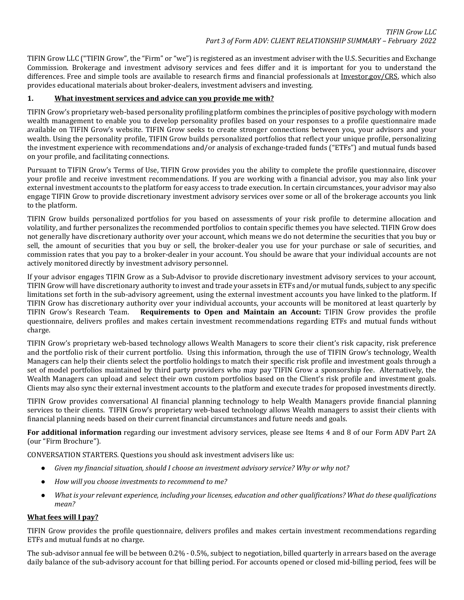TIFIN Grow LLC ("TIFIN Grow", the "Firm" or "we") is registered as an investment adviser with the U.S. Securities and Exchange Commission. Brokerage and investment advisory services and fees differ and it is important for you to understand the differences. Free and simple tools are available to research firms and financial professionals at [Investor.gov/CRS,](http://www.investor.gov/CRS) which also provides educational materials about broker-dealers, investment advisers and investing.

# **1. What investment services and advice can you provide me with?**

TIFIN Grow's proprietary web-based personality profiling platform combines the principles of positive psychology with modern wealth management to enable you to develop personality profiles based on your responses to a profile questionnaire made available on TIFIN Grow's website. TIFIN Grow seeks to create stronger connections between you, your advisors and your wealth. Using the personality profile, TIFIN Grow builds personalized portfolios that reflect your unique profile, personalizing the investment experience with recommendations and/or analysis of exchange-traded funds ("ETFs") and mutual funds based on your profile, and facilitating connections.

Pursuant to TIFIN Grow's Terms of Use, TIFIN Grow provides you the ability to complete the profile questionnaire, discover your profile and receive investment recommendations. If you are working with a financial advisor, you may also link your external investment accounts to the platform for easy access to trade execution. In certain circumstances, your advisor may also engage TIFIN Grow to provide discretionary investment advisory services over some or all of the brokerage accounts you link to the platform.

TIFIN Grow builds personalized portfolios for you based on assessments of your risk profile to determine allocation and volatility, and further personalizes the recommended portfolios to contain specific themes you have selected. TIFIN Grow does not generally have discretionary authority over your account, which means we do not determine the securities that you buy or sell, the amount of securities that you buy or sell, the broker-dealer you use for your purchase or sale of securities, and commission rates that you pay to a broker-dealer in your account. You should be aware that your individual accounts are not actively monitored directly by investment advisory personnel.

If your advisor engages TIFIN Grow as a Sub-Advisor to provide discretionary investment advisory services to your account, TIFIN Grow will have discretionary authority to invest and trade your assets in ETFs and/or mutual funds, subject to any specific limitations set forth in the sub-advisory agreement, using the external investment accounts you have linked to the platform. If TIFIN Grow has discretionary authority over your individual accounts, your accounts will be monitored at least quarterly by<br>TIFIN Grow's Research Team. **Requirements to Open and Maintain an Account:** TIFIN Grow provides th Requirements to Open and Maintain an Account: TIFIN Grow provides the profile questionnaire, delivers profiles and makes certain investment recommendations regarding ETFs and mutual funds without charge.

TIFIN Grow's proprietary web-based technology allows Wealth Managers to score their client's risk capacity, risk preference and the portfolio risk of their current portfolio. Using this information, through the use of TIFIN Grow's technology, Wealth Managers can help their clients select the portfolio holdings to match their specific risk profile and investment goals through a set of model portfolios maintained by third party providers who may pay TIFIN Grow a sponsorship fee. Alternatively, the Wealth Managers can upload and select their own custom portfolios based on the Client's risk profile and investment goals. Clients may also sync their external investment accounts to the platform and execute trades for proposed investments directly.

TIFIN Grow provides conversational AI financial planning technology to help Wealth Managers provide financial planning services to their clients. TIFIN Grow's proprietary web-based technology allows Wealth managers to assist their clients with financial planning needs based on their current financial circumstances and future needs and goals.

**For additional information** regarding our investment advisory services, please see Items 4 and 8 of our Form ADV Part 2A (our "Firm Brochure").

CONVERSATION STARTERS. Questions you should ask investment advisers like us:

- *Given my financial situation, should I choose an investment advisory service? Why or why not?*
- *How will you choose investments to recommend to me?*
- *What is your relevant experience, including your licenses, education and other qualifications? What do these qualifications mean?*

### **What fees will I pay?**

TIFIN Grow provides the profile questionnaire, delivers profiles and makes certain investment recommendations regarding ETFs and mutual funds at no charge.

The sub-advisor annual fee will be between 0.2% - 0.5%, subject to negotiation, billed quarterly in arrears based on the average daily balance of the sub-advisory account for that billing period. For accounts opened or closed mid-billing period, fees will be